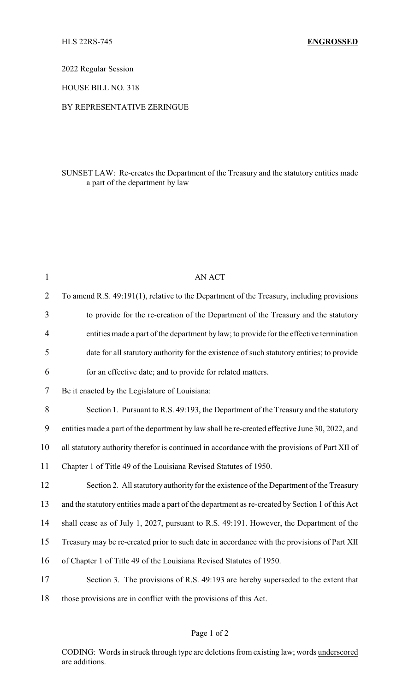2022 Regular Session

HOUSE BILL NO. 318

## BY REPRESENTATIVE ZERINGUE

## SUNSET LAW: Re-creates the Department of the Treasury and the statutory entities made a part of the department by law

| $\mathbf{1}$   | AN ACT                                                                                          |
|----------------|-------------------------------------------------------------------------------------------------|
| $\overline{2}$ | To amend R.S. 49:191(1), relative to the Department of the Treasury, including provisions       |
| 3              | to provide for the re-creation of the Department of the Treasury and the statutory              |
| 4              | entities made a part of the department by law; to provide for the effective termination         |
| 5              | date for all statutory authority for the existence of such statutory entities; to provide       |
| 6              | for an effective date; and to provide for related matters.                                      |
| 7              | Be it enacted by the Legislature of Louisiana:                                                  |
| 8              | Section 1. Pursuant to R.S. 49:193, the Department of the Treasury and the statutory            |
| 9              | entities made a part of the department by law shall be re-created effective June 30, 2022, and  |
| 10             | all statutory authority therefor is continued in accordance with the provisions of Part XII of  |
| 11             | Chapter 1 of Title 49 of the Louisiana Revised Statutes of 1950.                                |
| 12             | Section 2. All statutory authority for the existence of the Department of the Treasury          |
| 13             | and the statutory entities made a part of the department as re-created by Section 1 of this Act |
| 14             | shall cease as of July 1, 2027, pursuant to R.S. 49:191. However, the Department of the         |
| 15             | Treasury may be re-created prior to such date in accordance with the provisions of Part XII     |
| 16             | of Chapter 1 of Title 49 of the Louisiana Revised Statutes of 1950.                             |
| 17             | Section 3. The provisions of R.S. 49:193 are hereby superseded to the extent that               |
| 18             | those provisions are in conflict with the provisions of this Act.                               |

## Page 1 of 2

CODING: Words in struck through type are deletions from existing law; words underscored are additions.